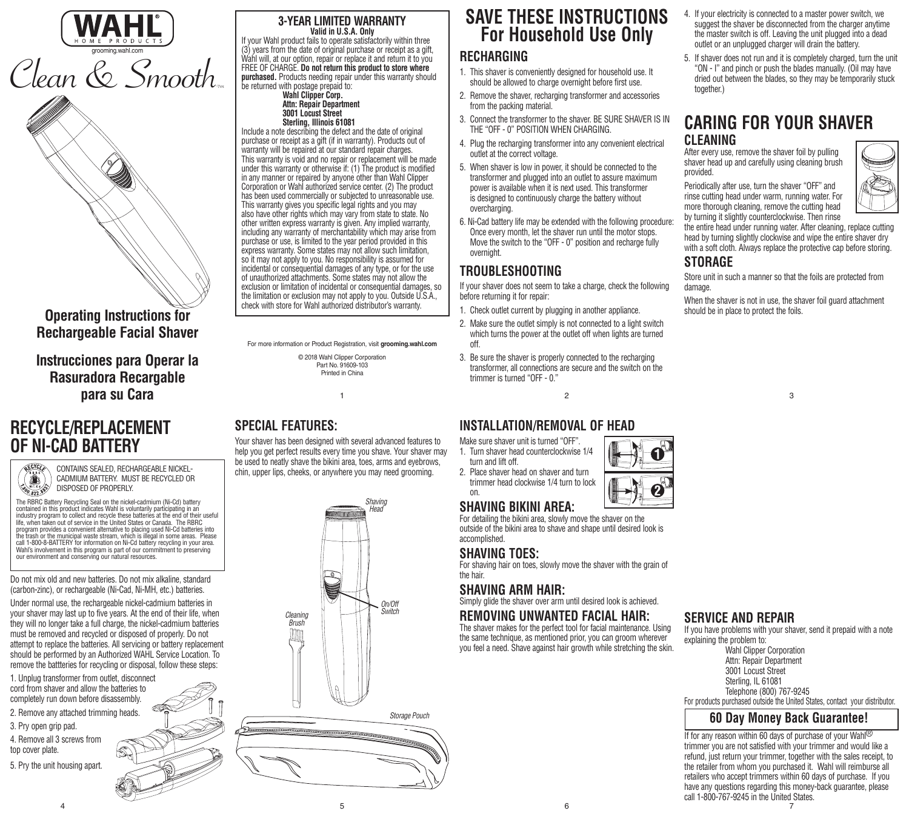



**Operating Instructions for Rechargeable Facial Shaver**

**Instrucciones para Operar la Rasuradora Recargable para su Cara**

## **RECYCLE/REPLACEMENT OF NI-CAD BATTERY**

CONTAINS SEALED, RECHARGEABLE NICKEL-CADMIUM BATTERY. MUST BE RECYCLED OR Â DISPOSED OF PROPERLY. **1900.822.999** 

The RBRC Battery Recycling Seal on the nickel-cadmium (Ni-Cd) battery contained in this product indicates Wahl is voluntarily participating in an industry program to collect and recycle these batteries at the end of their useful life, when taken out of service in the United States or Canada. The RBRC program provides a convenient alternative to placing used Ni-Cd batteries into the trash or the municipal waste stream, which is illegal in some areas. Please call 1-800-8-BATTERY for information on Ni-Cd battery recycling in your area.

Do not mix old and new batteries. Do not mix alkaline, standard (carbon-zinc), or rechargeable (Ni-Cad, Ni-MH, etc.) batteries.

Wahl's involvement in this program is part of our commitment to preserving our environment and conserving our natural resources.

Under normal use, the rechargeable nickel-cadmium batteries in your shaver may last up to five years. At the end of their life, when they will no longer take a full charge, the nickel-cadmium batteries must be removed and recycled or disposed of properly. Do not attempt to replace the batteries. All servicing or battery replacement should be performed by an Authorized WAHL Service Location. To remove the battteries for recycling or disposal, follow these steps:

1. Unplug transformer from outlet, disconnect cord from shaver and allow the batteries to completely run down before disassembly. 2. Remove any attached trimming heads.

3. Pry open grip pad.

4. Remove all 3 screws from top cover plate.

5. Pry the unit housing apart.

#### **3-YEAR LIMITED WARRANTY Valid in U.S.A. Only**

If your Wahl product fails to operate satisfactorily within three (3) years from the date of original purchase or receipt as a gift, Wahl will, at our option, repair or replace it and return it to you FREE OF CHARGE. **Do not return this product to store where purchased.** Products needing repair under this warranty should be returned with postage prepaid to:

#### **Wahl Clipper Corp. Attn: Repair Department 3001 Locust Street Sterling, Illinois 61081**

Include a note describing the defect and the date of original purchase or receipt as a gift (if in warranty). Products out of warranty will be repaired at our standard repair charges. This warranty is void and no repair or replacement will be made under this warranty or otherwise if: (1) The product is modified in any manner or repaired by anyone other than Wahl Clipper Corporation or Wahl authorized service center. (2) The product has been used commercially or subjected to unreasonable use. This warranty gives you specific legal rights and you may also have other rights which may vary from state to state. No other written express warranty is given. Any implied warranty, including any warranty of merchantability which may arise from purchase or use, is limited to the year period provided in this express warranty. Some states may not allow such limitation, so it may not apply to you. No responsibility is assumed for incidental or consequential damages of any type, or for the use of unauthorized attachments. Some states may not allow the exclusion or limitation of incidental or consequential damages, so the limitation or exclusion may not apply to you. Outside U.S.A., check with store for Wahl authorized distributor's warranty.

For more information or Product Registration, visit **grooming.wahl.com**

1

© 2018 Wahl Clipper Corporation Part No. 91609-103 Printed in China

## **SPECIAL FEATURES:**

Your shaver has been designed with several advanced features to help you get perfect results every time you shave. Your shaver may be used to neatly shave the bikini area, toes, arms and eyebrows, chin, upper lips, cheeks, or anywhere you may need grooming.



# **SAVE THESE INSTRUCTIONS For Household Use Only**

# **RECHARGING**

- 1. This shaver is conveniently designed for household use. It should be allowed to charge overnight before first use.
- 2. Remove the shaver, recharging transformer and accessories from the packing material.
- 3. Connect the transformer to the shaver. BE SURE SHAVER IS IN THE "OFF - 0" POSITION WHEN CHARGING.
- 4. Plug the recharging transformer into any convenient electrical outlet at the correct voltage.
- 5. When shaver is low in power, it should be connected to the transformer and plugged into an outlet to assure maximum power is available when it is next used. This transformer is designed to continuously charge the battery without overcharging.
- 6. Ni-Cad battery life may be extended with the following procedure: Once every month, let the shaver run until the motor stops. Move the switch to the "OFF - 0" position and recharge fully overnight.

## **TROUBLESHOOTING**

If your shaver does not seem to take a charge, check the following before returning it for repair:

- 1. Check outlet current by plugging in another appliance.
- 2. Make sure the outlet simply is not connected to a light switch which turns the power at the outlet off when lights are turned off.
- 3. Be sure the shaver is properly connected to the recharging transformer, all connections are secure and the switch on the trimmer is turned "OFF - 0."

 $\overline{2}$ 

### **INSTALLATION/REMOVAL OF HEAD**

- Make sure shaver unit is turned "OFF". 1. Turn shaver head counterclockwise 1/4
- turn and lift off. 2. Place shaver head on shaver and turn
- trimmer head clockwise 1/4 turn to lock on.

# **SHAVING BIKINI AREA:**

For detailing the bikini area, slowly move the shaver on the outside of the bikini area to shave and shape until desired look is accomplished.

### **SHAVING TOES:**

For shaving hair on toes, slowly move the shaver with the grain of the hair.

## **SHAVING ARM HAIR:**

Simply glide the shaver over arm until desired look is achieved.

#### **REMOVING UNWANTED FACIAL HAIR:**

The shaver makes for the perfect tool for facial maintenance. Using the same technique, as mentioned prior, you can groom wherever you feel a need. Shave against hair growth while stretching the skin.

- 4. If your electricity is connected to a master power switch, we suggest the shaver be disconnected from the charger anytime the master switch is off. Leaving the unit plugged into a dead outlet or an unplugged charger will drain the battery.
- 5. If shaver does not run and it is completely charged, turn the unit "ON - I" and pinch or push the blades manually. (Oil may have dried out between the blades, so they may be temporarily stuck together.)

## **CARING FOR YOUR SHAVER CLEANING**

After every use, remove the shaver foil by pulling shaver head up and carefully using cleaning brush provided.

Periodically after use, turn the shaver "OFF" and rinse cutting head under warm, running water. For more thorough cleaning, remove the cutting head by turning it slightly counterclockwise. Then rinse

the entire head under running water. After cleaning, replace cutting head by turning slightly clockwise and wipe the entire shaver dry with a soft cloth. Always replace the protective cap before storing. **STORAGE**

Store unit in such a manner so that the foils are protected from

damage. When the shaver is not in use, the shaver foil guard attachment should be in place to protect the foils.



## **SERVICE AND REPAIR**

If you have problems with your shaver, send it prepaid with a note explaining the problem to:

 Wahl Clipper Corporation Attn: Repair Department 3001 Locust Street Sterling, IL 61081 Telephone (800) 767-9245

For products purchased outside the United States, contact your distributor.

#### **60 Day Money Back Guarantee!**

7 If for any reason within 60 days of purchase of your Wahl<sup>®</sup> trimmer you are not satisfied with your trimmer and would like a refund, just return your trimmer, together with the sales receipt, to the retailer from whom you purchased it. Wahl will reimburse all retailers who accept trimmers within 60 days of purchase. If you have any questions regarding this money-back guarantee, please call 1-800-767-9245 in the United States.